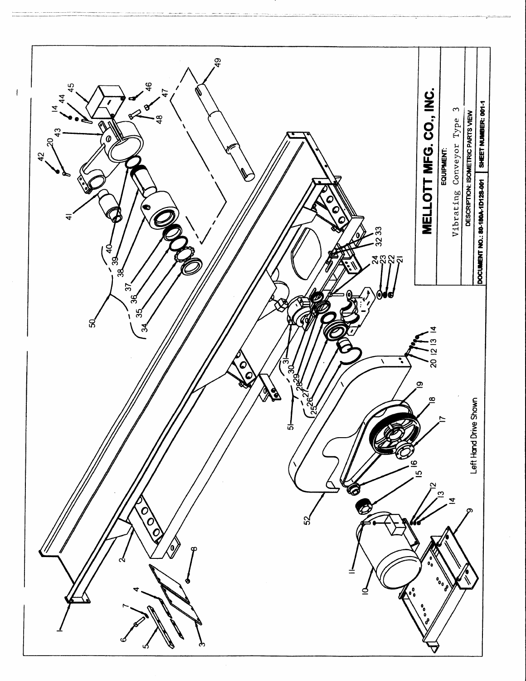